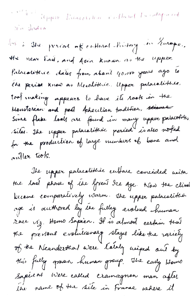internal import limitation Calland La collegeneed ri dordia

lus à She persone nf entiment finition in Zurape. the near End, and Asia known as the upper Palacativeire dates from about 40.000 years ago to The period know as Mesolithic. Upper palacelistice tool inaking appears to have its rook in the Monstereau and past Acheulian tradition, sine Since flake looks are found in many upper palacotific siles. The upper palacelithèc peried is also noted for the production of large members of bone and anller tools.

The upper palacolithic entrare concided neita the last phone of the Great Ice Age. Now the climat become comparatively warm. The upper palacatistic age is authored by the fulley evalued human race viz. Homo Sapien. Il is almost certain trat the previous evolutionary stages like-tre rariely of the Neandershal were talaly mined out by this fully grown human group. The early Home Sapiens Were called crainagnon man afler the name of the site in France where it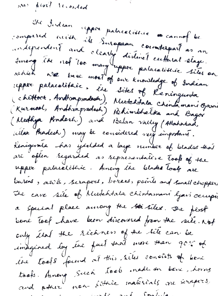now proof recorded the Indian upper palacelistic es cannot be compared midde ils Surapeau counterpart as an independent and clearly distinct enthural stage. which we trie most of our knowledge of Indian repper palacolitair, été sites of l'eningunta (chittook, Andhrapradech), Mutchtala Chindamani Ojarai (Kurnost, Andhrapsedesh) Behimbbetka and Bagor (Medhya Konderh.) and Belan valley (Allahabad, witar fradesh) may be considered very impostant. Kenigerale has yielded a laye number of blades that arc often regarded as representative toop of the upper palacelistice. Among the blacks look are buriers, awk, scrapers, borers, paints and small chopper The cave site of Mudehtala chintamani lyari occupic a special place among the set siles. The first bone Tool have been discovered from the site. Not only ital the richness of the site can be imagined loy une fact trat more tran 90% of une tools found at this sites consists of home tooks. Arnoug Such tools made on beni, horas and atens non-litric materials au serapers